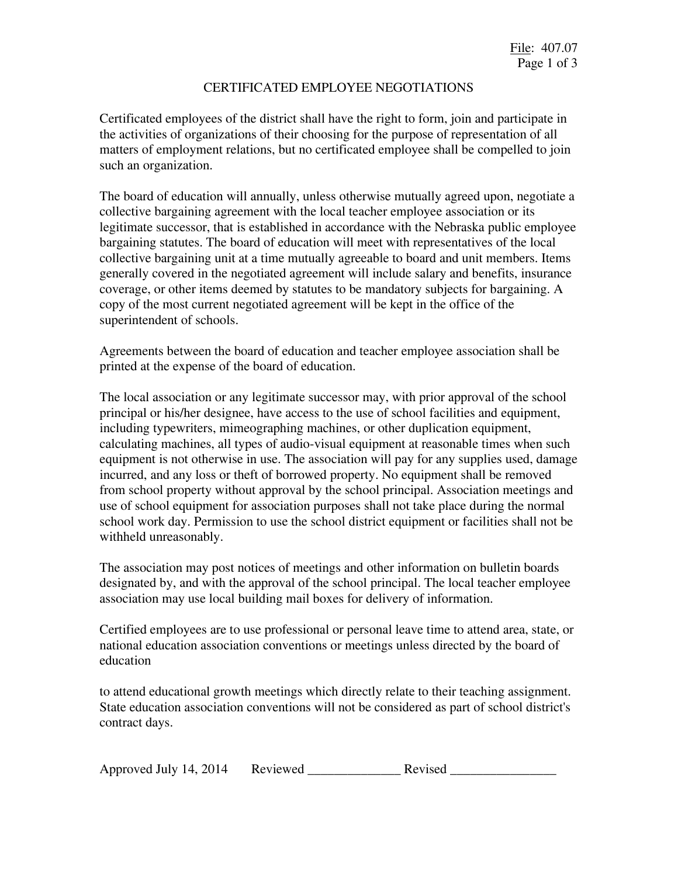## CERTIFICATED EMPLOYEE NEGOTIATIONS

Certificated employees of the district shall have the right to form, join and participate in the activities of organizations of their choosing for the purpose of representation of all matters of employment relations, but no certificated employee shall be compelled to join such an organization.

The board of education will annually, unless otherwise mutually agreed upon, negotiate a collective bargaining agreement with the local teacher employee association or its legitimate successor, that is established in accordance with the Nebraska public employee bargaining statutes. The board of education will meet with representatives of the local collective bargaining unit at a time mutually agreeable to board and unit members. Items generally covered in the negotiated agreement will include salary and benefits, insurance coverage, or other items deemed by statutes to be mandatory subjects for bargaining. A copy of the most current negotiated agreement will be kept in the office of the superintendent of schools.

Agreements between the board of education and teacher employee association shall be printed at the expense of the board of education.

The local association or any legitimate successor may, with prior approval of the school principal or his/her designee, have access to the use of school facilities and equipment, including typewriters, mimeographing machines, or other duplication equipment, calculating machines, all types of audio-visual equipment at reasonable times when such equipment is not otherwise in use. The association will pay for any supplies used, damage incurred, and any loss or theft of borrowed property. No equipment shall be removed from school property without approval by the school principal. Association meetings and use of school equipment for association purposes shall not take place during the normal school work day. Permission to use the school district equipment or facilities shall not be withheld unreasonably.

The association may post notices of meetings and other information on bulletin boards designated by, and with the approval of the school principal. The local teacher employee association may use local building mail boxes for delivery of information.

Certified employees are to use professional or personal leave time to attend area, state, or national education association conventions or meetings unless directed by the board of education

to attend educational growth meetings which directly relate to their teaching assignment. State education association conventions will not be considered as part of school district's contract days.

| Approved July 14, 2014 | Reviewed | Revised |
|------------------------|----------|---------|
|------------------------|----------|---------|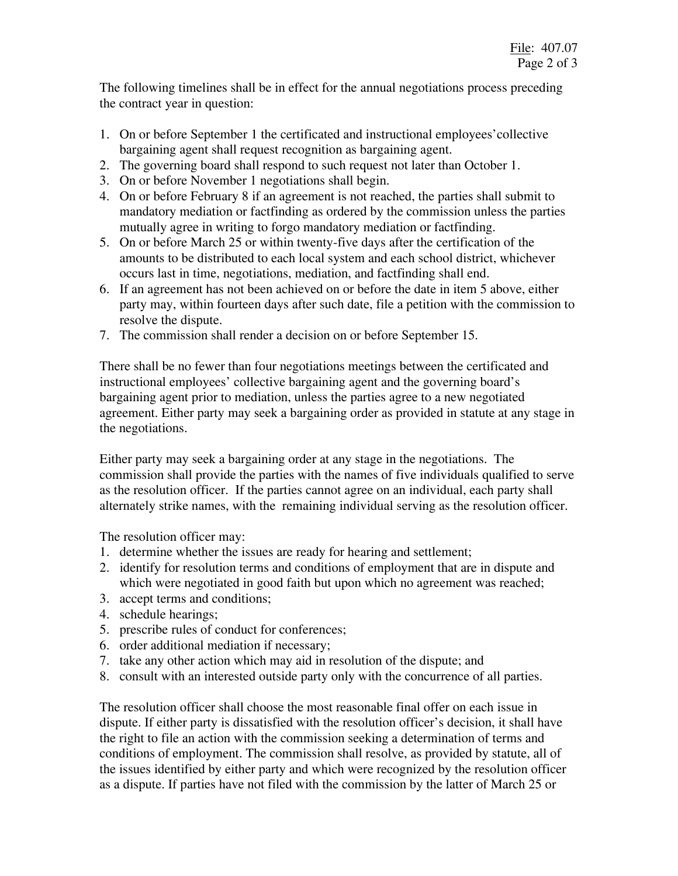The following timelines shall be in effect for the annual negotiations process preceding the contract year in question:

- 1. On or before September 1 the certificated and instructional employees'collective bargaining agent shall request recognition as bargaining agent.
- 2. The governing board shall respond to such request not later than October 1.
- 3. On or before November 1 negotiations shall begin.
- 4. On or before February 8 if an agreement is not reached, the parties shall submit to mandatory mediation or factfinding as ordered by the commission unless the parties mutually agree in writing to forgo mandatory mediation or factfinding.
- 5. On or before March 25 or within twenty-five days after the certification of the amounts to be distributed to each local system and each school district, whichever occurs last in time, negotiations, mediation, and factfinding shall end.
- 6. If an agreement has not been achieved on or before the date in item 5 above, either party may, within fourteen days after such date, file a petition with the commission to resolve the dispute.
- 7. The commission shall render a decision on or before September 15.

There shall be no fewer than four negotiations meetings between the certificated and instructional employees' collective bargaining agent and the governing board's bargaining agent prior to mediation, unless the parties agree to a new negotiated agreement. Either party may seek a bargaining order as provided in statute at any stage in the negotiations.

Either party may seek a bargaining order at any stage in the negotiations. The commission shall provide the parties with the names of five individuals qualified to serve as the resolution officer. If the parties cannot agree on an individual, each party shall alternately strike names, with the remaining individual serving as the resolution officer.

The resolution officer may:

- 1. determine whether the issues are ready for hearing and settlement;
- 2. identify for resolution terms and conditions of employment that are in dispute and which were negotiated in good faith but upon which no agreement was reached;
- 3. accept terms and conditions;
- 4. schedule hearings;
- 5. prescribe rules of conduct for conferences;
- 6. order additional mediation if necessary;
- 7. take any other action which may aid in resolution of the dispute; and
- 8. consult with an interested outside party only with the concurrence of all parties.

The resolution officer shall choose the most reasonable final offer on each issue in dispute. If either party is dissatisfied with the resolution officer's decision, it shall have the right to file an action with the commission seeking a determination of terms and conditions of employment. The commission shall resolve, as provided by statute, all of the issues identified by either party and which were recognized by the resolution officer as a dispute. If parties have not filed with the commission by the latter of March 25 or